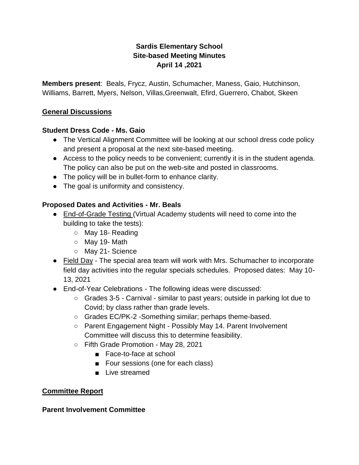# **Sardis Elementary School Site-based Meeting Minutes April 14 ,2021**

**Members present**: Beals, Frycz, Austin, Schumacher, Maness, Gaio, Hutchinson, Williams, Barrett, Myers, Nelson, Villas,Greenwalt, Efird, Guerrero, Chabot, Skeen

## **General Discussions**

## **Student Dress Code - Ms. Gaio**

- The Vertical Alignment Committee will be looking at our school dress code policy and present a proposal at the next site-based meeting.
- Access to the policy needs to be convenient; currently it is in the student agenda. The policy can also be put on the web-site and posted in classrooms.
- The policy will be in bullet-form to enhance clarity.
- The goal is uniformity and consistency.

## **Proposed Dates and Activities - Mr. Beals**

- End-of-Grade Testing (Virtual Academy students will need to come into the building to take the tests):
	- May 18- Reading
	- May 19- Math
	- May 21- Science
- Field Day The special area team will work with Mrs. Schumacher to incorporate field day activities into the regular specials schedules. Proposed dates: May 10- 13, 2021
- End-of-Year Celebrations The following ideas were discussed:
	- Grades 3-5 Carnival similar to past years; outside in parking lot due to Covid; by class rather than grade levels.
	- Grades EC/PK-2 -Something similar; perhaps theme-based.
	- Parent Engagement Night Possibly May 14. Parent Involvement Committee will discuss this to determine feasibility.
	- Fifth Grade Promotion May 28, 2021
		- Face-to-face at school
		- Four sessions (one for each class)
		- Live streamed

## **Committee Report**

## **Parent Involvement Committee**